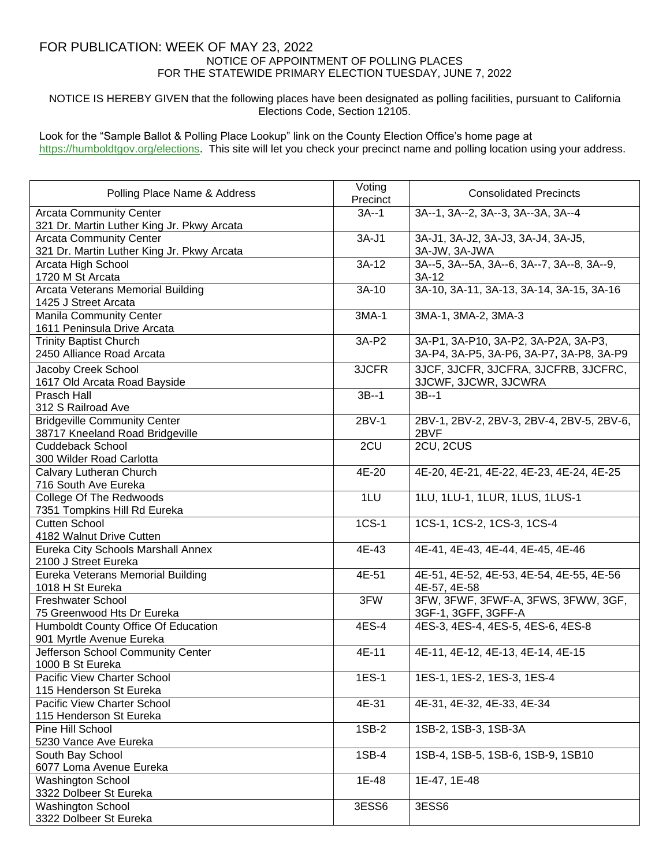## FOR PUBLICATION: WEEK OF MAY 23, 2022 NOTICE OF APPOINTMENT OF POLLING PLACES FOR THE STATEWIDE PRIMARY ELECTION TUESDAY, JUNE 7, 2022

NOTICE IS HEREBY GIVEN that the following places have been designated as polling facilities, pursuant to California Elections Code, Section 12105.

Look for the "Sample Ballot & Polling Place Lookup" link on the County Election Office's home page at https://humboldtgov.org/elections. This site will let you check your precinct name and polling location using your address.

| Polling Place Name & Address                                                 | Voting<br>Precinct | <b>Consolidated Precincts</b>                                                    |
|------------------------------------------------------------------------------|--------------------|----------------------------------------------------------------------------------|
| <b>Arcata Community Center</b><br>321 Dr. Martin Luther King Jr. Pkwy Arcata | $3A-1$             | 3A--1, 3A--2, 3A--3, 3A--3A, 3A--4                                               |
| <b>Arcata Community Center</b><br>321 Dr. Martin Luther King Jr. Pkwy Arcata | $3A-J1$            | 3A-J1, 3A-J2, 3A-J3, 3A-J4, 3A-J5,<br>3A-JW, 3A-JWA                              |
| Arcata High School<br>1720 M St Arcata                                       | $3A-12$            | 3A--5, 3A--5A, 3A--6, 3A--7, 3A--8, 3A--9,<br>$3A-12$                            |
| Arcata Veterans Memorial Building<br>1425 J Street Arcata                    | $3A-10$            | 3A-10, 3A-11, 3A-13, 3A-14, 3A-15, 3A-16                                         |
| <b>Manila Community Center</b><br>1611 Peninsula Drive Arcata                | 3MA-1              | 3MA-1, 3MA-2, 3MA-3                                                              |
| <b>Trinity Baptist Church</b><br>2450 Alliance Road Arcata                   | 3A-P2              | 3A-P1, 3A-P10, 3A-P2, 3A-P2A, 3A-P3,<br>3A-P4, 3A-P5, 3A-P6, 3A-P7, 3A-P8, 3A-P9 |
| Jacoby Creek School<br>1617 Old Arcata Road Bayside                          | 3JCFR              | 3JCF, 3JCFR, 3JCFRA, 3JCFRB, 3JCFRC,<br>3JCWF, 3JCWR, 3JCWRA                     |
| <b>Prasch Hall</b><br>312 S Railroad Ave                                     | $3B-1$             | $3B-1$                                                                           |
| <b>Bridgeville Community Center</b><br>38717 Kneeland Road Bridgeville       | 2BV-1              | 2BV-1, 2BV-2, 2BV-3, 2BV-4, 2BV-5, 2BV-6,<br>2BVF                                |
| Cuddeback School<br>300 Wilder Road Carlotta                                 | 2CU                | 2CU, 2CUS                                                                        |
| Calvary Lutheran Church<br>716 South Ave Eureka                              | 4E-20              | 4E-20, 4E-21, 4E-22, 4E-23, 4E-24, 4E-25                                         |
| College Of The Redwoods<br>7351 Tompkins Hill Rd Eureka                      | 1LU                | 1LU, 1LU-1, 1LUR, 1LUS, 1LUS-1                                                   |
| <b>Cutten School</b><br>4182 Walnut Drive Cutten                             | $1CS-1$            | 1CS-1, 1CS-2, 1CS-3, 1CS-4                                                       |
| Eureka City Schools Marshall Annex<br>2100 J Street Eureka                   | 4E-43              | 4E-41, 4E-43, 4E-44, 4E-45, 4E-46                                                |
| Eureka Veterans Memorial Building<br>1018 H St Eureka                        | 4E-51              | 4E-51, 4E-52, 4E-53, 4E-54, 4E-55, 4E-56<br>4E-57, 4E-58                         |
| <b>Freshwater School</b><br>75 Greenwood Hts Dr Eureka                       | 3FW                | 3FW, 3FWF, 3FWF-A, 3FWS, 3FWW, 3GF,<br>3GF-1, 3GFF, 3GFF-A                       |
| Humboldt County Office Of Education<br>901 Myrtle Avenue Eureka              | 4ES-4              | 4ES-3, 4ES-4, 4ES-5, 4ES-6, 4ES-8                                                |
| Jefferson School Community Center<br>1000 B St Eureka                        | 4E-11              | 4E-11, 4E-12, 4E-13, 4E-14, 4E-15                                                |
| Pacific View Charter School<br>115 Henderson St Eureka                       | 1ES-1              | 1ES-1, 1ES-2, 1ES-3, 1ES-4                                                       |
| Pacific View Charter School<br>115 Henderson St Eureka                       | 4E-31              | 4E-31, 4E-32, 4E-33, 4E-34                                                       |
| Pine Hill School<br>5230 Vance Ave Eureka                                    | 1SB-2              | 1SB-2, 1SB-3, 1SB-3A                                                             |
| South Bay School<br>6077 Loma Avenue Eureka                                  | 1SB-4              | 1SB-4, 1SB-5, 1SB-6, 1SB-9, 1SB10                                                |
| <b>Washington School</b><br>3322 Dolbeer St Eureka                           | 1E-48              | 1E-47, 1E-48                                                                     |
| <b>Washington School</b><br>3322 Dolbeer St Eureka                           | 3ESS6              | 3ESS6                                                                            |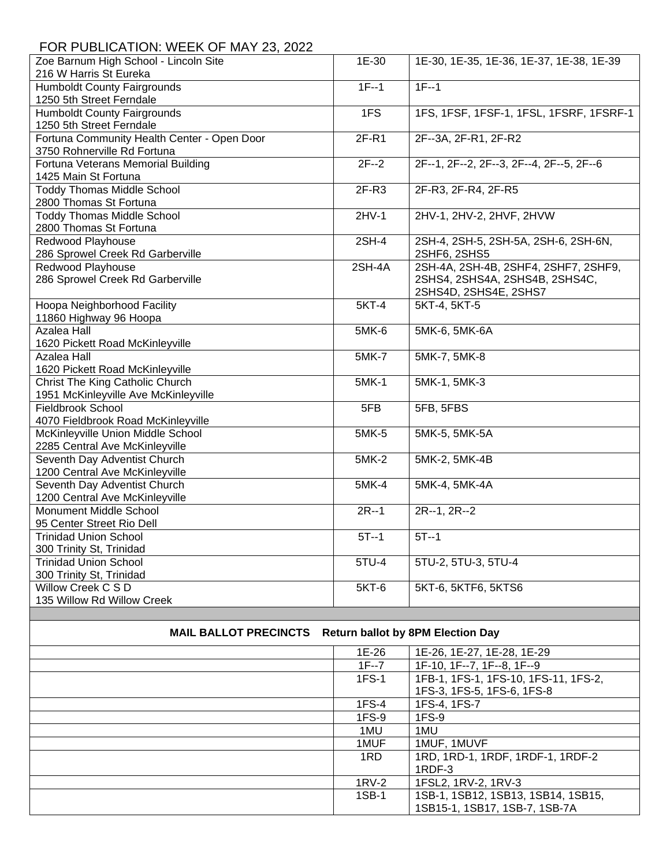## FOR PUBLICATION: WEEK OF MAY 23, 2022

| Zoe Barnum High School - Lincoln Site       | 1E-30        | 1E-30, 1E-35, 1E-36, 1E-37, 1E-38, 1E-39 |
|---------------------------------------------|--------------|------------------------------------------|
| 216 W Harris St Eureka                      |              |                                          |
| <b>Humboldt County Fairgrounds</b>          | $1F-1$       | $1F-1$                                   |
| 1250 5th Street Ferndale                    |              |                                          |
| <b>Humboldt County Fairgrounds</b>          | 1FS          | 1FS, 1FSF, 1FSF-1, 1FSL, 1FSRF, 1FSRF-1  |
| 1250 5th Street Ferndale                    |              |                                          |
| Fortuna Community Health Center - Open Door | $2F-R1$      | 2F--3A, 2F-R1, 2F-R2                     |
| 3750 Rohnerville Rd Fortuna                 |              |                                          |
| Fortuna Veterans Memorial Building          | $2F-2$       | 2F--1, 2F--2, 2F--3, 2F--4, 2F--5, 2F--6 |
| 1425 Main St Fortuna                        |              |                                          |
| <b>Toddy Thomas Middle School</b>           | $2F-R3$      | 2F-R3, 2F-R4, 2F-R5                      |
| 2800 Thomas St Fortuna                      |              |                                          |
| <b>Toddy Thomas Middle School</b>           | $2HV-1$      | 2HV-1, 2HV-2, 2HVF, 2HVW                 |
| 2800 Thomas St Fortuna                      |              |                                          |
| Redwood Playhouse                           | 2SH-4        | 2SH-4, 2SH-5, 2SH-5A, 2SH-6, 2SH-6N,     |
| 286 Sprowel Creek Rd Garberville            |              | 2SHF6, 2SHS5                             |
| Redwood Playhouse                           | 2SH-4A       | 2SH-4A, 2SH-4B, 2SHF4, 2SHF7, 2SHF9,     |
| 286 Sprowel Creek Rd Garberville            |              | 2SHS4, 2SHS4A, 2SHS4B, 2SHS4C,           |
|                                             |              | 2SHS4D, 2SHS4E, 2SHS7                    |
| Hoopa Neighborhood Facility                 | $5KT-4$      | 5KT-4, 5KT-5                             |
| 11860 Highway 96 Hoopa                      |              |                                          |
| <b>Azalea Hall</b>                          | 5MK-6        | 5MK-6, 5MK-6A                            |
| 1620 Pickett Road McKinleyville             |              |                                          |
| <b>Azalea Hall</b>                          | <b>5MK-7</b> | 5MK-7, 5MK-8                             |
| 1620 Pickett Road McKinleyville             |              |                                          |
| Christ The King Catholic Church             | 5MK-1        | 5MK-1, 5MK-3                             |
| 1951 McKinleyville Ave McKinleyville        |              |                                          |
| <b>Fieldbrook School</b>                    | 5FB          | 5FB, 5FBS                                |
| 4070 Fieldbrook Road McKinleyville          |              |                                          |
| McKinleyville Union Middle School           | 5MK-5        | 5MK-5, 5MK-5A                            |
| 2285 Central Ave McKinleyville              |              |                                          |
| Seventh Day Adventist Church                | 5MK-2        | 5MK-2, 5MK-4B                            |
| 1200 Central Ave McKinleyville              |              |                                          |
| Seventh Day Adventist Church                | 5MK-4        | 5MK-4, 5MK-4A                            |
| 1200 Central Ave McKinleyville              |              |                                          |
| <b>Monument Middle School</b>               | $2R - 1$     | $2R-1, 2R-2$                             |
| 95 Center Street Rio Dell                   |              |                                          |
| <b>Trinidad Union School</b>                | $5T - 1$     | $5T-1$                                   |
| 300 Trinity St, Trinidad                    |              |                                          |
| <b>Trinidad Union School</b>                | $5TU-4$      | 5TU-2, 5TU-3, 5TU-4                      |
| 300 Trinity St, Trinidad                    |              |                                          |
| Willow Creek C S D                          | 5KT-6        | 5KT-6, 5KTF6, 5KTS6                      |
| 135 Willow Rd Willow Creek                  |              |                                          |
|                                             |              |                                          |

## **MAIL BALLOT PRECINCTS Return ballot by 8PM Election Day**

| 1E-26    | 1E-26, 1E-27, 1E-28, 1E-29           |
|----------|--------------------------------------|
| $1F - 7$ | 1F-10, 1F--7, 1F--8, 1F--9           |
| $1FS-1$  | 1FB-1, 1FS-1, 1FS-10, 1FS-11, 1FS-2, |
|          | 1FS-3, 1FS-5, 1FS-6, 1FS-8           |
| 1FS-4    | 1FS-4, 1FS-7                         |
| $1FS-9$  | $1FS-9$                              |
| 1MU      | 1MU                                  |
| 1MUF     | 1MUF, 1MUVF                          |
| 1RD      | 1RD, 1RD-1, 1RDF, 1RDF-1, 1RDF-2     |
|          | $1RDF-3$                             |
| $1RV-2$  | 1FSL2, 1RV-2, 1RV-3                  |
| 1SB-1    | 1SB-1, 1SB12, 1SB13, 1SB14, 1SB15,   |
|          | 1SB15-1, 1SB17, 1SB-7, 1SB-7A        |